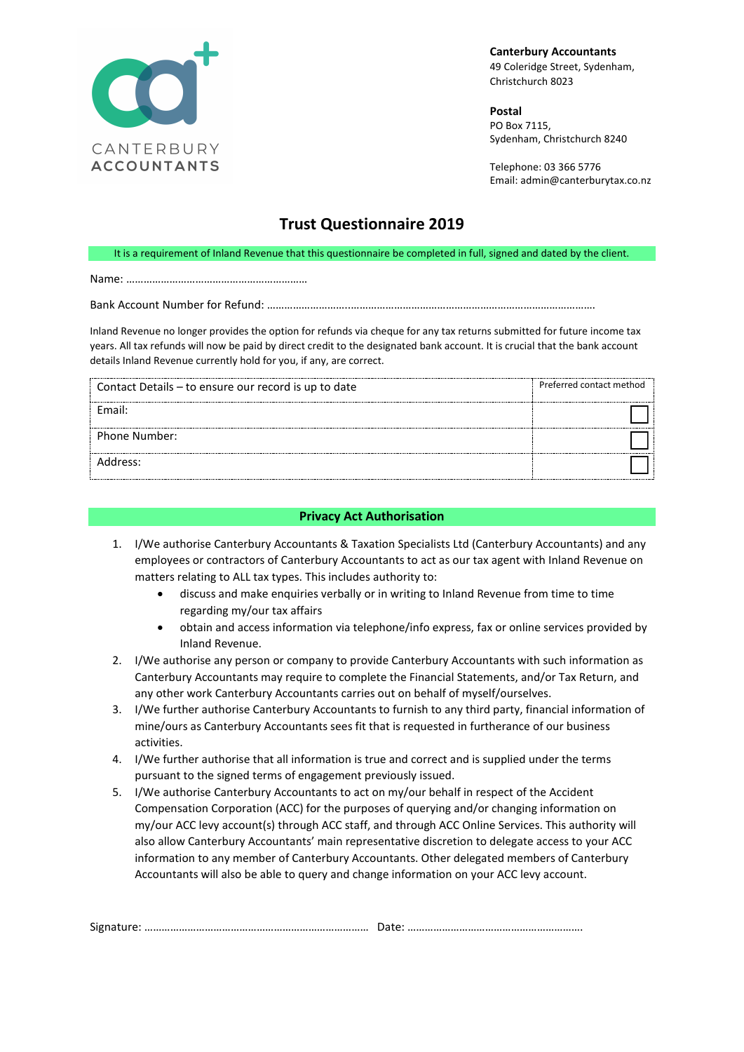

**Canterbury Accountants** 49 Coleridge Street, Sydenham, Christchurch 8023

**Postal**  PO Box 7115, Sydenham, Christchurch 8240

Telephone: 03 366 5776 Email: admin@canterburytax.co.nz

## **Trust Questionnaire 2019**

It is a requirement of Inland Revenue that this questionnaire be completed in full, signed and dated by the client.

Name: ………………………………………………………

Bank Account Number for Refund: ………………………..………………………………………………………………………….

Inland Revenue no longer provides the option for refunds via cheque for any tax returns submitted for future income tax years. All tax refunds will now be paid by direct credit to the designated bank account. It is crucial that the bank account details Inland Revenue currently hold for you, if any, are correct.

| Contact Details - to ensure our record is up to date | Preferred contact method |
|------------------------------------------------------|--------------------------|
| Fmail:                                               |                          |
| Phone Number:                                        |                          |
| Address:                                             |                          |

## **Privacy Act Authorisation**

- 1. I/We authorise Canterbury Accountants & Taxation Specialists Ltd (Canterbury Accountants) and any employees or contractors of Canterbury Accountants to act as our tax agent with Inland Revenue on matters relating to ALL tax types. This includes authority to:
	- discuss and make enquiries verbally or in writing to Inland Revenue from time to time regarding my/our tax affairs
	- obtain and access information via telephone/info express, fax or online services provided by Inland Revenue.
- 2. I/We authorise any person or company to provide Canterbury Accountants with such information as Canterbury Accountants may require to complete the Financial Statements, and/or Tax Return, and any other work Canterbury Accountants carries out on behalf of myself/ourselves.
- 3. I/We further authorise Canterbury Accountants to furnish to any third party, financial information of mine/ours as Canterbury Accountants sees fit that is requested in furtherance of our business activities.
- 4. I/We further authorise that all information is true and correct and is supplied under the terms pursuant to the signed terms of engagement previously issued.
- 5. I/We authorise Canterbury Accountants to act on my/our behalf in respect of the Accident Compensation Corporation (ACC) for the purposes of querying and/or changing information on my/our ACC levy account(s) through ACC staff, and through ACC Online Services. This authority will also allow Canterbury Accountants' main representative discretion to delegate access to your ACC information to any member of Canterbury Accountants. Other delegated members of Canterbury Accountants will also be able to query and change information on your ACC levy account.

| 17 اد<br>. U I La marriarra errorea errorea errorea errorea errorea errorea errorea errorea e |  |
|-----------------------------------------------------------------------------------------------|--|
|-----------------------------------------------------------------------------------------------|--|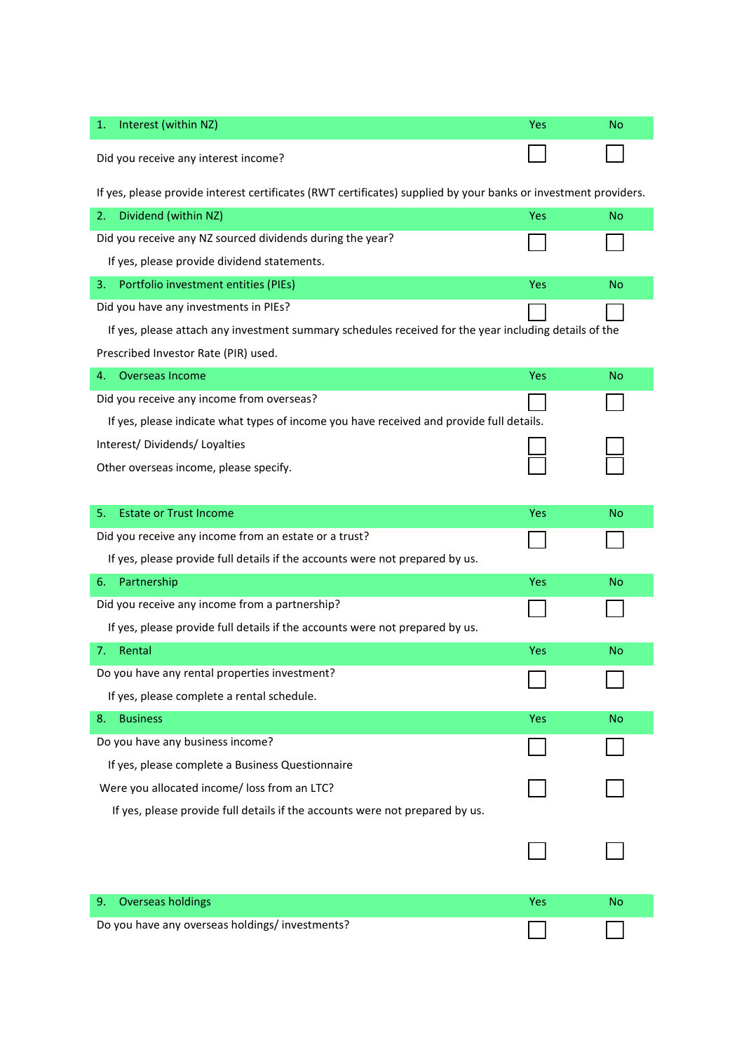| Interest (within NZ)<br>1.                                                                                      | Yes        | No        |
|-----------------------------------------------------------------------------------------------------------------|------------|-----------|
|                                                                                                                 |            |           |
| Did you receive any interest income?                                                                            |            |           |
| If yes, please provide interest certificates (RWT certificates) supplied by your banks or investment providers. |            |           |
| Dividend (within NZ)<br>2.                                                                                      | Yes        | <b>No</b> |
| Did you receive any NZ sourced dividends during the year?                                                       |            |           |
| If yes, please provide dividend statements.                                                                     |            |           |
| Portfolio investment entities (PIEs)<br>3.                                                                      | <b>Yes</b> | No        |
| Did you have any investments in PIEs?                                                                           |            |           |
| If yes, please attach any investment summary schedules received for the year including details of the           |            |           |
| Prescribed Investor Rate (PIR) used.                                                                            |            |           |
| Overseas Income<br>4.                                                                                           | Yes        | No        |
| Did you receive any income from overseas?                                                                       |            |           |
| If yes, please indicate what types of income you have received and provide full details.                        |            |           |
| Interest/Dividends/Loyalties                                                                                    |            |           |
| Other overseas income, please specify.                                                                          |            |           |
|                                                                                                                 |            |           |
| <b>Estate or Trust Income</b><br>5.                                                                             | Yes        | No        |
| Did you receive any income from an estate or a trust?                                                           |            |           |
| If yes, please provide full details if the accounts were not prepared by us.                                    |            |           |
| Partnership<br>6.                                                                                               | Yes        | No        |
| Did you receive any income from a partnership?                                                                  |            |           |
| If yes, please provide full details if the accounts were not prepared by us.                                    |            |           |
| Rental<br>7.                                                                                                    | Yes        | No        |
| Do you have any rental properties investment?                                                                   |            |           |
| If yes, please complete a rental schedule.                                                                      |            |           |
| <b>Business</b><br>8.                                                                                           | Yes        | <b>No</b> |
| Do you have any business income?                                                                                |            |           |
| If yes, please complete a Business Questionnaire                                                                |            |           |
| Were you allocated income/ loss from an LTC?                                                                    |            |           |
| If yes, please provide full details if the accounts were not prepared by us.                                    |            |           |
|                                                                                                                 |            |           |
|                                                                                                                 |            |           |
|                                                                                                                 |            |           |
| <b>Overseas holdings</b><br>9.                                                                                  | Yes        | <b>No</b> |
| Do you have any overseas holdings/investments?                                                                  |            |           |